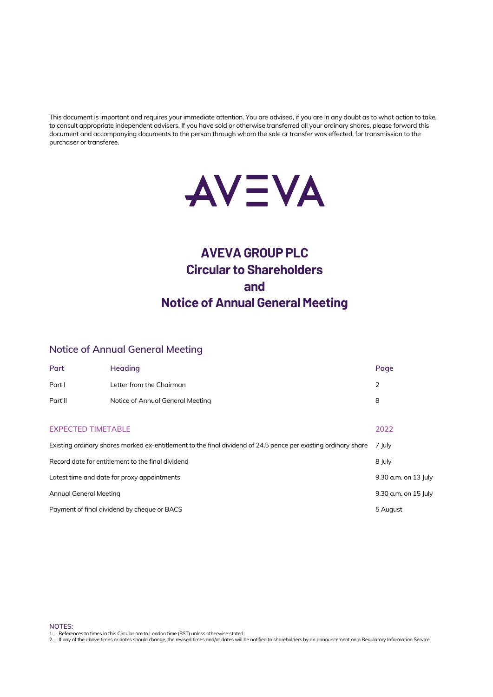This document is important and requires your immediate attention. You are advised, if you are in any doubt as to what action to take, to consult appropriate independent advisers. If you have sold or otherwise transferred all your ordinary shares, please forward this document and accompanying documents to the person through whom the sale or transfer was effected, for transmission to the purchaser or transferee.



# **AVEVA GROUP PLC Circular to Shareholders and Notice of Annual General Meeting**

# **Notice of Annual General Meeting**

| Part                                                                                                           | Heading                          | Page                 |
|----------------------------------------------------------------------------------------------------------------|----------------------------------|----------------------|
| Part I                                                                                                         | Letter from the Chairman         | 2                    |
| Part II                                                                                                        | Notice of Annual General Meeting | 8                    |
|                                                                                                                |                                  |                      |
| <b>EXPECTED TIMETABLE</b>                                                                                      |                                  | 2022                 |
| Existing ordinary shares marked ex-entitlement to the final dividend of 24.5 pence per existing ordinary share |                                  | 7 July               |
| Record date for entitlement to the final dividend                                                              |                                  | 8 July               |
| Latest time and date for proxy appointments                                                                    |                                  | 9.30 a.m. on 13 July |
| Annual General Meeting                                                                                         |                                  | 9.30 a.m. on 15 July |
| Payment of final dividend by cheque or BACS                                                                    |                                  | 5 August             |

**NOTES:**

1. References to times in this Circular are to London time (BST) unless otherwise stated.<br>2. If any of the above times or dates should change, the revised times and/or dates will be notified to shareholders by an announcem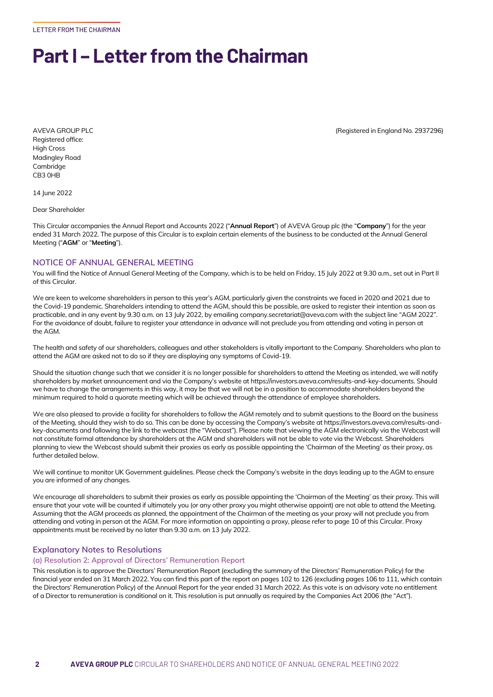LETTER FROM THE CHAIRMAN

# **Part I – Letter from the Chairman**

Registered office: High Cross Madingley Road Cambridge CB3 0HB

14 June 2022

Dear Shareholder

This Circular accompanies the Annual Report and Accounts 2022 ("**Annual Report**") of AVEVA Group plc (the "**Company**") for the year ended 31 March 2022. The purpose of this Circular is to explain certain elements of the business to be conducted at the Annual General Meeting ("**AGM**" or "**Meeting**").

# **NOTICE OF ANNUAL GENERAL MEETING**

You will find the Notice of Annual General Meeting of the Company, which is to be held on Friday, 15 July 2022 at 9.30 a.m., set out in Part II of this Circular.

We are keen to welcome shareholders in person to this year's AGM, particularly given the constraints we faced in 2020 and 2021 due to the Covid-19 pandemic. Shareholders intending to attend the AGM, should this be possible, are asked to register their intention as soon as practicable, and in any event by 9.30 a.m. on 13 July 2022, by emailing company.secretariat@aveva.com with the subject line "AGM 2022". For the avoidance of doubt, failure to register your attendance in advance will not preclude you from attending and voting in person at the AGM.

The health and safety of our shareholders, colleagues and other stakeholders is vitally important to the Company. Shareholders who plan to attend the AGM are asked not to do so if they are displaying any symptoms of Covid-19.

Should the situation change such that we consider it is no longer possible for shareholders to attend the Meeting as intended, we will notify shareholders by market announcement and via the Company's website at https://investors.aveva.com/results-and-key-documents. Should we have to change the arrangements in this way, it may be that we will not be in a position to accommodate shareholders beyond the minimum required to hold a quorate meeting which will be achieved through the attendance of employee shareholders.

We are also pleased to provide a facility for shareholders to follow the AGM remotely and to submit questions to the Board on the business of the Meeting, should they wish to do so. This can be done by accessing the Company's website at https://investors.aveva.com/results-andkey-documents and following the link to the webcast (the "Webcast"). Please note that viewing the AGM electronically via the Webcast will not constitute formal attendance by shareholders at the AGM and shareholders will not be able to vote via the Webcast. Shareholders planning to view the Webcast should submit their proxies as early as possible appointing the 'Chairman of the Meeting' as their proxy, as further detailed below.

We will continue to monitor UK Government guidelines. Please check the Company's website in the days leading up to the AGM to ensure you are informed of any changes.

We encourage all shareholders to submit their proxies as early as possible appointing the 'Chairman of the Meeting' as their proxy. This will ensure that your vote will be counted if ultimately you (or any other proxy you might otherwise appoint) are not able to attend the Meeting. Assuming that the AGM proceeds as planned, the appointment of the Chairman of the meeting as your proxy will not preclude you from attending and voting in person at the AGM. For more information on appointing a proxy, please refer to page 10 of this Circular. Proxy appointments must be received by no later than 9.30 a.m. on 13 July 2022.

# **Explanatory Notes to Resolutions**

## **(a) Resolution 2: Approval of Directors' Remuneration Report**

This resolution is to approve the Directors' Remuneration Report (excluding the summary of the Directors' Remuneration Policy) for the financial year ended on 31 March 2022. You can find this part of the report on pages 102 to 126 (excluding pages 106 to 111, which contain the Directors' Remuneration Policy) of the Annual Report for the year ended 31 March 2022. As this vote is an advisory vote no entitlement of a Director to remuneration is conditional on it. This resolution is put annually as required by the Companies Act 2006 (the "Act").

AVEVA GROUP PLC (Registered in England No. 2937296)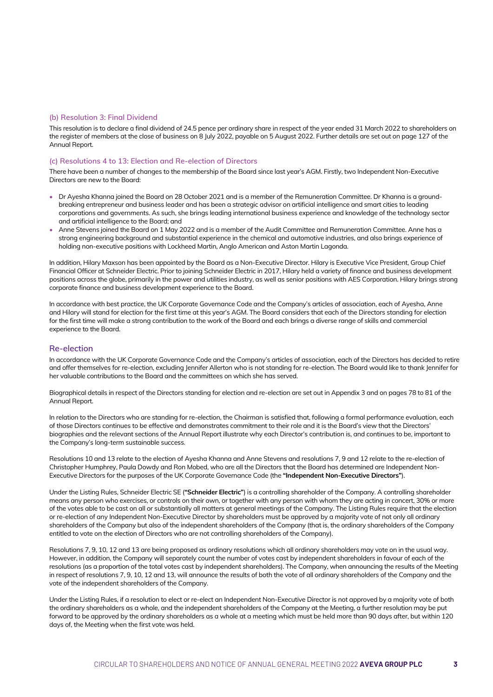# **(b) Resolution 3: Final Dividend**

This resolution is to declare a final dividend of 24.5 pence per ordinary share in respect of the year ended 31 March 2022 to shareholders on the register of members at the close of business on 8 July 2022, payable on 5 August 2022. Further details are set out on page 127 of the Annual Report.

# **(c) Resolutions 4 to 13: Election and Re-election of Directors**

There have been a number of changes to the membership of the Board since last year's AGM. Firstly, two Independent Non-Executive Directors are new to the Board:

- Dr Ayesha Khanna joined the Board on 28 October 2021 and is a member of the Remuneration Committee. Dr Khanna is a groundbreaking entrepreneur and business leader and has been a strategic advisor on artificial intelligence and smart cities to leading corporations and governments. As such, she brings leading international business experience and knowledge of the technology sector and artificial intelligence to the Board; and
- Anne Stevens joined the Board on 1 May 2022 and is a member of the Audit Committee and Remuneration Committee. Anne has a strong engineering background and substantial experience in the chemical and automotive industries, and also brings experience of holding non-executive positions with Lockheed Martin, Anglo American and Aston Martin Lagonda.

In addition, Hilary Maxson has been appointed by the Board as a Non-Executive Director. Hilary is Executive Vice President, Group Chief Financial Officer at Schneider Electric. Prior to joining Schneider Electric in 2017, Hilary held a variety of finance and business development positions across the globe, primarily in the power and utilities industry, as well as senior positions with AES Corporation. Hilary brings strong corporate finance and business development experience to the Board.

In accordance with best practice, the UK Corporate Governance Code and the Company's articles of association, each of Ayesha, Anne and Hilary will stand for election for the first time at this year's AGM. The Board considers that each of the Directors standing for election for the first time will make a strong contribution to the work of the Board and each brings a diverse range of skills and commercial experience to the Board.

# **Re-election**

In accordance with the UK Corporate Governance Code and the Company's articles of association, each of the Directors has decided to retire and offer themselves for re-election, excluding Jennifer Allerton who is not standing for re-election. The Board would like to thank Jennifer for her valuable contributions to the Board and the committees on which she has served.

Biographical details in respect of the Directors standing for election and re-election are set out in Appendix 3 and on pages 78 to 81 of the Annual Report.

In relation to the Directors who are standing for re-election, the Chairman is satisfied that, following a formal performance evaluation, each of those Directors continues to be effective and demonstrates commitment to their role and it is the Board's view that the Directors' biographies and the relevant sections of the Annual Report illustrate why each Director's contribution is, and continues to be, important to the Company's long-term sustainable success.

Resolutions 10 and 13 relate to the election of Ayesha Khanna and Anne Stevens and resolutions 7, 9 and 12 relate to the re-election of Christopher Humphrey, Paula Dowdy and Ron Mobed, who are all the Directors that the Board has determined are Independent Non-Executive Directors for the purposes of the UK Corporate Governance Code (the **"Independent Non-Executive Directors"**).

Under the Listing Rules, Schneider Electric SE (**"Schneider Electric"**) is a controlling shareholder of the Company. A controlling shareholder means any person who exercises, or controls on their own, or together with any person with whom they are acting in concert, 30% or more of the votes able to be cast on all or substantially all matters at general meetings of the Company. The Listing Rules require that the election or re-election of any Independent Non-Executive Director by shareholders must be approved by a majority vote of not only all ordinary shareholders of the Company but also of the independent shareholders of the Company (that is, the ordinary shareholders of the Company entitled to vote on the election of Directors who are not controlling shareholders of the Company).

Resolutions 7, 9, 10, 12 and 13 are being proposed as ordinary resolutions which all ordinary shareholders may vote on in the usual way. However, in addition, the Company will separately count the number of votes cast by independent shareholders in favour of each of the resolutions (as a proportion of the total votes cast by independent shareholders). The Company, when announcing the results of the Meeting in respect of resolutions 7, 9, 10, 12 and 13, will announce the results of both the vote of all ordinary shareholders of the Company and the vote of the independent shareholders of the Company.

Under the Listing Rules, if a resolution to elect or re-elect an Independent Non-Executive Director is not approved by a majority vote of both the ordinary shareholders as a whole, and the independent shareholders of the Company at the Meeting, a further resolution may be put forward to be approved by the ordinary shareholders as a whole at a meeting which must be held more than 90 days after, but within 120 days of, the Meeting when the first vote was held.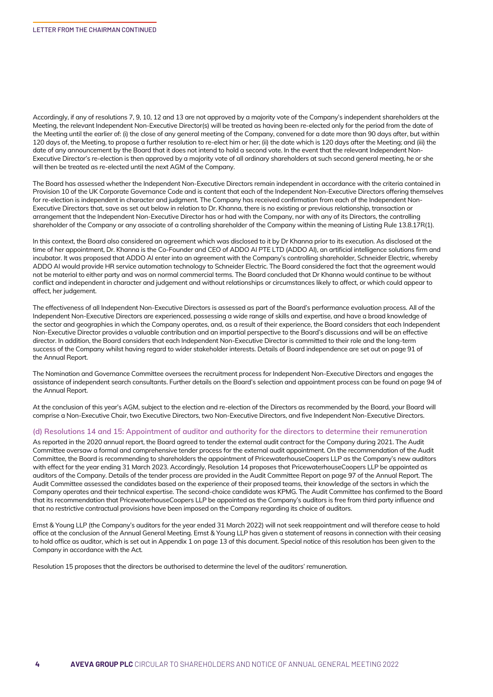Accordingly, if any of resolutions 7, 9, 10, 12 and 13 are not approved by a majority vote of the Company's independent shareholders at the Meeting, the relevant Independent Non-Executive Director(s) will be treated as having been re-elected only for the period from the date of the Meeting until the earlier of: (i) the close of any general meeting of the Company, convened for a date more than 90 days after, but within 120 days of, the Meeting, to propose a further resolution to re-elect him or her; (ii) the date which is 120 days after the Meeting; and (iii) the date of any announcement by the Board that it does not intend to hold a second vote. In the event that the relevant Independent Non-Executive Director's re-election is then approved by a majority vote of all ordinary shareholders at such second general meeting, he or she will then be treated as re-elected until the next AGM of the Company.

The Board has assessed whether the Independent Non-Executive Directors remain independent in accordance with the criteria contained in Provision 10 of the UK Corporate Governance Code and is content that each of the Independent Non-Executive Directors offering themselves for re-election is independent in character and judgment. The Company has received confirmation from each of the Independent Non-Executive Directors that, save as set out below in relation to Dr. Khanna, there is no existing or previous relationship, transaction or arrangement that the Independent Non-Executive Director has or had with the Company, nor with any of its Directors, the controlling shareholder of the Company or any associate of a controlling shareholder of the Company within the meaning of Listing Rule 13.8.17R(1).

In this context, the Board also considered an agreement which was disclosed to it by Dr Khanna prior to its execution. As disclosed at the time of her appointment, Dr. Khanna is the Co-Founder and CEO of ADDO AI PTE LTD (ADDO AI), an artificial intelligence solutions firm and incubator. It was proposed that ADDO AI enter into an agreement with the Company's controlling shareholder, Schneider Electric, whereby ADDO AI would provide HR service automation technology to Schneider Electric. The Board considered the fact that the agreement would not be material to either party and was on normal commercial terms. The Board concluded that Dr Khanna would continue to be without conflict and independent in character and judgement and without relationships or circumstances likely to affect, or which could appear to affect, her judgement.

The effectiveness of all Independent Non-Executive Directors is assessed as part of the Board's performance evaluation process. All of the Independent Non-Executive Directors are experienced, possessing a wide range of skills and expertise, and have a broad knowledge of the sector and geographies in which the Company operates, and, as a result of their experience, the Board considers that each Independent Non-Executive Director provides a valuable contribution and an impartial perspective to the Board's discussions and will be an effective director. In addition, the Board considers that each Independent Non-Executive Director is committed to their role and the long-term success of the Company whilst having regard to wider stakeholder interests. Details of Board independence are set out on page 91 of the Annual Report.

The Nomination and Governance Committee oversees the recruitment process for Independent Non-Executive Directors and engages the assistance of independent search consultants. Further details on the Board's selection and appointment process can be found on page 94 of the Annual Report.

At the conclusion of this year's AGM, subject to the election and re-election of the Directors as recommended by the Board, your Board will comprise a Non-Executive Chair, two Executive Directors, two Non-Executive Directors, and five Independent Non-Executive Directors.

## **(d) Resolutions 14 and 15: Appointment of auditor and authority for the directors to determine their remuneration**

As reported in the 2020 annual report, the Board agreed to tender the external audit contract for the Company during 2021. The Audit Committee oversaw a formal and comprehensive tender process for the external audit appointment. On the recommendation of the Audit Committee, the Board is recommending to shareholders the appointment of PricewaterhouseCoopers LLP as the Company's new auditors with effect for the year ending 31 March 2023. Accordingly, Resolution 14 proposes that PricewaterhouseCoopers LLP be appointed as auditors of the Company. Details of the tender process are provided in the Audit Committee Report on page 97 of the Annual Report. The Audit Committee assessed the candidates based on the experience of their proposed teams, their knowledge of the sectors in which the Company operates and their technical expertise. The second-choice candidate was KPMG. The Audit Committee has confirmed to the Board that its recommendation that PricewaterhouseCoopers LLP be appointed as the Company's auditors is free from third party influence and that no restrictive contractual provisions have been imposed on the Company regarding its choice of auditors.

Ernst & Young LLP (the Company's auditors for the year ended 31 March 2022) will not seek reappointment and will therefore cease to hold office at the conclusion of the Annual General Meeting. Ernst & Young LLP has given a statement of reasons in connection with their ceasing to hold office as auditor, which is set out in Appendix 1 on page 13 of this document. Special notice of this resolution has been given to the Company in accordance with the Act.

Resolution 15 proposes that the directors be authorised to determine the level of the auditors' remuneration.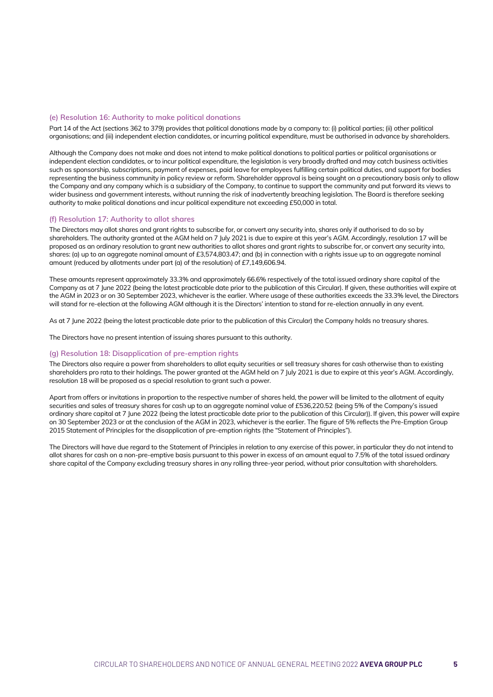## **(e) Resolution 16: Authority to make political donations**

Part 14 of the Act (sections 362 to 379) provides that political donations made by a company to: (i) political parties; (ii) other political organisations; and (iii) independent election candidates, or incurring political expenditure, must be authorised in advance by shareholders.

Although the Company does not make and does not intend to make political donations to political parties or political organisations or independent election candidates, or to incur political expenditure, the legislation is very broadly drafted and may catch business activities such as sponsorship, subscriptions, payment of expenses, paid leave for employees fulfilling certain political duties, and support for bodies representing the business community in policy review or reform. Shareholder approval is being sought on a precautionary basis only to allow the Company and any company which is a subsidiary of the Company, to continue to support the community and put forward its views to wider business and government interests, without running the risk of inadvertently breaching legislation. The Board is therefore seeking authority to make political donations and incur political expenditure not exceeding £50,000 in total.

## **(f) Resolution 17: Authority to allot shares**

The Directors may allot shares and grant rights to subscribe for, or convert any security into, shares only if authorised to do so by shareholders. The authority granted at the AGM held on 7 July 2021 is due to expire at this year's AGM. Accordingly, resolution 17 will be proposed as an ordinary resolution to grant new authorities to allot shares and grant rights to subscribe for, or convert any security into, shares: (a) up to an aggregate nominal amount of £3,574,803.47; and (b) in connection with a rights issue up to an aggregate nominal amount (reduced by allotments under part (a) of the resolution) of £7,149,606.94.

These amounts represent approximately 33.3% and approximately 66.6% respectively of the total issued ordinary share capital of the Company as at 7 June 2022 (being the latest practicable date prior to the publication of this Circular). If given, these authorities will expire at the AGM in 2023 or on 30 September 2023, whichever is the earlier. Where usage of these authorities exceeds the 33.3% level, the Directors will stand for re-election at the following AGM although it is the Directors' intention to stand for re-election annually in any event.

As at 7 June 2022 (being the latest practicable date prior to the publication of this Circular) the Company holds no treasury shares.

The Directors have no present intention of issuing shares pursuant to this authority.

# **(g) Resolution 18: Disapplication of pre-emption rights**

The Directors also require a power from shareholders to allot equity securities or sell treasury shares for cash otherwise than to existing shareholders pro rata to their holdings. The power granted at the AGM held on 7 July 2021 is due to expire at this year's AGM. Accordingly, resolution 18 will be proposed as a special resolution to grant such a power.

Apart from offers or invitations in proportion to the respective number of shares held, the power will be limited to the allotment of equity securities and sales of treasury shares for cash up to an aggregate nominal value of £536,220.52 (being 5% of the Company's issued ordinary share capital at 7 June 2022 (being the latest practicable date prior to the publication of this Circular)). If given, this power will expire on 30 September 2023 or at the conclusion of the AGM in 2023, whichever is the earlier. The figure of 5% reflects the Pre-Emption Group 2015 Statement of Principles for the disapplication of pre-emption rights (the "Statement of Principles").

The Directors will have due regard to the Statement of Principles in relation to any exercise of this power, in particular they do not intend to allot shares for cash on a non-pre-emptive basis pursuant to this power in excess of an amount equal to 7.5% of the total issued ordinary share capital of the Company excluding treasury shares in any rolling three-year period, without prior consultation with shareholders.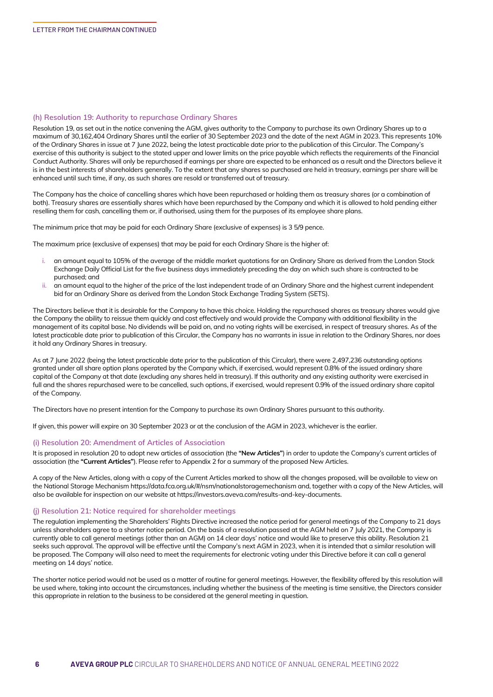## **(h) Resolution 19: Authority to repurchase Ordinary Shares**

Resolution 19, as set out in the notice convening the AGM, gives authority to the Company to purchase its own Ordinary Shares up to a maximum of 30,162,404 Ordinary Shares until the earlier of 30 September 2023 and the date of the next AGM in 2023. This represents 10% of the Ordinary Shares in issue at 7 June 2022, being the latest practicable date prior to the publication of this Circular. The Company's exercise of this authority is subject to the stated upper and lower limits on the price payable which reflects the requirements of the Financial Conduct Authority. Shares will only be repurchased if earnings per share are expected to be enhanced as a result and the Directors believe it is in the best interests of shareholders generally. To the extent that any shares so purchased are held in treasury, earnings per share will be enhanced until such time, if any, as such shares are resold or transferred out of treasury.

The Company has the choice of cancelling shares which have been repurchased or holding them as treasury shares (or a combination of both). Treasury shares are essentially shares which have been repurchased by the Company and which it is allowed to hold pending either reselling them for cash, cancelling them or, if authorised, using them for the purposes of its employee share plans.

The minimum price that may be paid for each Ordinary Share (exclusive of expenses) is 3 5/9 pence.

The maximum price (exclusive of expenses) that may be paid for each Ordinary Share is the higher of:

- i. an amount equal to 105% of the average of the middle market quotations for an Ordinary Share as derived from the London Stock Exchange Daily Official List for the five business days immediately preceding the day on which such share is contracted to be purchased; and
- ii. an amount equal to the higher of the price of the last independent trade of an Ordinary Share and the highest current independent bid for an Ordinary Share as derived from the London Stock Exchange Trading System (SETS).

The Directors believe that it is desirable for the Company to have this choice. Holding the repurchased shares as treasury shares would give the Company the ability to reissue them quickly and cost effectively and would provide the Company with additional flexibility in the management of its capital base. No dividends will be paid on, and no voting rights will be exercised, in respect of treasury shares. As of the latest practicable date prior to publication of this Circular, the Company has no warrants in issue in relation to the Ordinary Shares, nor does it hold any Ordinary Shares in treasury.

As at 7 June 2022 (being the latest practicable date prior to the publication of this Circular), there were 2,497,236 outstanding options granted under all share option plans operated by the Company which, if exercised, would represent 0.8% of the issued ordinary share capital of the Company at that date (excluding any shares held in treasury). If this authority and any existing authority were exercised in full and the shares repurchased were to be cancelled, such options, if exercised, would represent 0.9% of the issued ordinary share capital of the Company.

The Directors have no present intention for the Company to purchase its own Ordinary Shares pursuant to this authority.

If given, this power will expire on 30 September 2023 or at the conclusion of the AGM in 2023, whichever is the earlier.

#### **(i) Resolution 20: Amendment of Articles of Association**

It is proposed in resolution 20 to adopt new articles of association (the **"New Articles"**) in order to update the Company's current articles of association (the **"Current Articles"**). Please refer to Appendix 2 for a summary of the proposed New Articles.

A copy of the New Articles, along with a copy of the Current Articles marked to show all the changes proposed, will be available to view on the National Storage Mechanism https://data.fca.org.uk/#/nsm/nationalstoragemechanism and, together with a copy of the New Articles, will also be available for inspection on our website at https://investors.aveva.com/results-and-key-documents.

# **(j) Resolution 21: Notice required for shareholder meetings**

The regulation implementing the Shareholders' Rights Directive increased the notice period for general meetings of the Company to 21 days unless shareholders agree to a shorter notice period. On the basis of a resolution passed at the AGM held on 7 July 2021, the Company is currently able to call general meetings (other than an AGM) on 14 clear days' notice and would like to preserve this ability. Resolution 21 seeks such approval. The approval will be effective until the Company's next AGM in 2023, when it is intended that a similar resolution will be proposed. The Company will also need to meet the requirements for electronic voting under this Directive before it can call a general meeting on 14 days' notice.

The shorter notice period would not be used as a matter of routine for general meetings. However, the flexibility offered by this resolution will be used where, taking into account the circumstances, including whether the business of the meeting is time sensitive, the Directors consider this appropriate in relation to the business to be considered at the general meeting in question.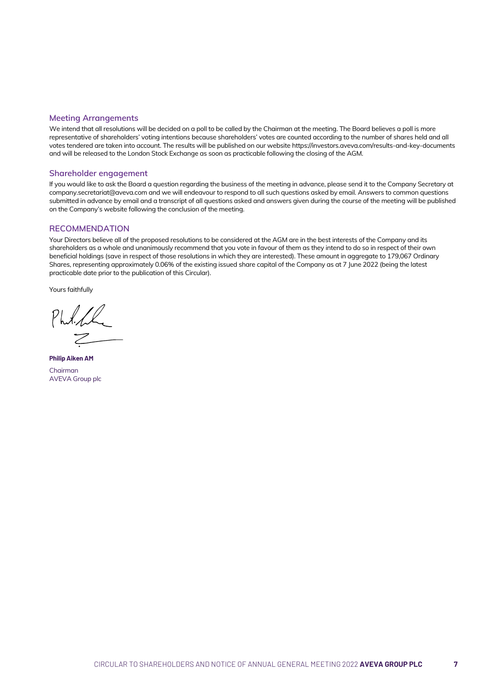# **Meeting Arrangements**

We intend that all resolutions will be decided on a poll to be called by the Chairman at the meeting. The Board believes a poll is more representative of shareholders' voting intentions because shareholders' votes are counted according to the number of shares held and all votes tendered are taken into account. The results will be published on our website https://investors.aveva.com/results-and-key-documents and will be released to the London Stock Exchange as soon as practicable following the closing of the AGM.

# **Shareholder engagement**

If you would like to ask the Board a question regarding the business of the meeting in advance, please send it to the Company Secretary at company.secretariat@aveva.com and we will endeavour to respond to all such questions asked by email. Answers to common questions submitted in advance by email and a transcript of all questions asked and answers given during the course of the meeting will be published on the Company's website following the conclusion of the meeting.

# **RECOMMENDATION**

Your Directors believe all of the proposed resolutions to be considered at the AGM are in the best interests of the Company and its shareholders as a whole and unanimously recommend that you vote in favour of them as they intend to do so in respect of their own beneficial holdings (save in respect of those resolutions in which they are interested). These amount in aggregate to 179,067 Ordinary Shares, representing approximately 0.06% of the existing issued share capital of the Company as at 7 June 2022 (being the latest practicable date prior to the publication of this Circular).

Yours faithfully

Philip

**Philip Aiken AM** Chairman AVEVA Group plc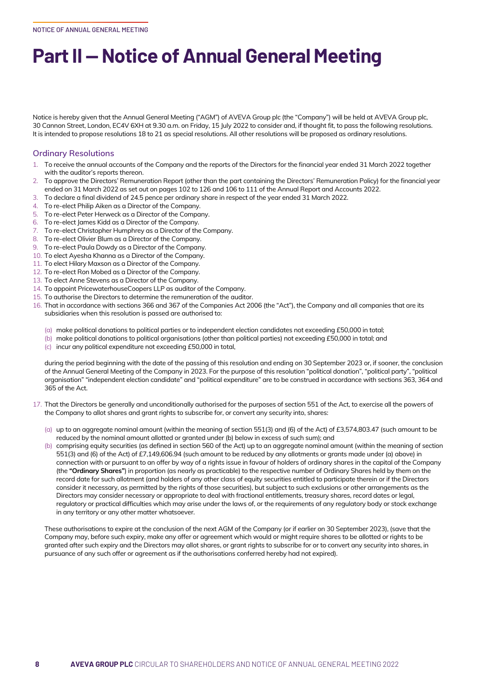# **Part II — Notice of Annual General Meeting**

Notice is hereby given that the Annual General Meeting ("AGM") of AVEVA Group plc (the "Company") will be held at AVEVA Group plc, 30 Cannon Street, London, EC4V 6XH at 9.30 a.m. on Friday, 15 July 2022 to consider and, if thought fit, to pass the following resolutions. It is intended to propose resolutions 18 to 21 as special resolutions. All other resolutions will be proposed as ordinary resolutions.

# **Ordinary Resolutions**

- 1. To receive the annual accounts of the Company and the reports of the Directors for the financial year ended 31 March 2022 together with the auditor's reports thereon.
- 2. To approve the Directors' Remuneration Report (other than the part containing the Directors' Remuneration Policy) for the financial year ended on 31 March 2022 as set out on pages 102 to 126 and 106 to 111 of the Annual Report and Accounts 2022.
- 3. To declare a final dividend of 24.5 pence per ordinary share in respect of the year ended 31 March 2022.
- 4. To re-elect Philip Aiken as a Director of the Company.
- 5. To re-elect Peter Herweck as a Director of the Company.
- 6. To re-elect James Kidd as a Director of the Company.
- 7. To re-elect Christopher Humphrey as a Director of the Company.
- 8. To re-elect Olivier Blum as a Director of the Company.
- 9. To re-elect Paula Dowdy as a Director of the Company.
- 10. To elect Ayesha Khanna as a Director of the Company.
- 11. To elect Hilary Maxson as a Director of the Company.
- 12. To re-elect Ron Mobed as a Director of the Company.
- 13. To elect Anne Stevens as a Director of the Company.
- 14. To appoint PricewaterhouseCoopers LLP as auditor of the Company.
- 15. To authorise the Directors to determine the remuneration of the auditor.
- 16. That in accordance with sections 366 and 367 of the Companies Act 2006 (the "Act"), the Company and all companies that are its subsidiaries when this resolution is passed are authorised to:
	- (a) make political donations to political parties or to independent election candidates not exceeding £50,000 in total;
	- (b) make political donations to political organisations (other than political parties) not exceeding £50,000 in total; and
	- (c) incur any political expenditure not exceeding £50,000 in total,

during the period beginning with the date of the passing of this resolution and ending on 30 September 2023 or, if sooner, the conclusion of the Annual General Meeting of the Company in 2023. For the purpose of this resolution "political donation", "political party", "political organisation" "independent election candidate" and "political expenditure" are to be construed in accordance with sections 363, 364 and 365 of the Act.

- 17. That the Directors be generally and unconditionally authorised for the purposes of section 551 of the Act, to exercise all the powers of the Company to allot shares and grant rights to subscribe for, or convert any security into, shares:
	- (a) up to an aggregate nominal amount (within the meaning of section 551(3) and (6) of the Act) of £3,574,803.47 (such amount to be reduced by the nominal amount allotted or granted under (b) below in excess of such sum); and
	- (b) comprising equity securities (as defined in section 560 of the Act) up to an aggregate nominal amount (within the meaning of section 551(3) and (6) of the Act) of £7,149,606.94 (such amount to be reduced by any allotments or grants made under (a) above) in connection with or pursuant to an offer by way of a rights issue in favour of holders of ordinary shares in the capital of the Company (the **"Ordinary Shares"**) in proportion (as nearly as practicable) to the respective number of Ordinary Shares held by them on the record date for such allotment (and holders of any other class of equity securities entitled to participate therein or if the Directors consider it necessary, as permitted by the rights of those securities), but subject to such exclusions or other arrangements as the Directors may consider necessary or appropriate to deal with fractional entitlements, treasury shares, record dates or legal, regulatory or practical difficulties which may arise under the laws of, or the requirements of any regulatory body or stock exchange in any territory or any other matter whatsoever.

These authorisations to expire at the conclusion of the next AGM of the Company (or if earlier on 30 September 2023), (save that the Company may, before such expiry, make any offer or agreement which would or might require shares to be allotted or rights to be granted after such expiry and the Directors may allot shares, or grant rights to subscribe for or to convert any security into shares, in pursuance of any such offer or agreement as if the authorisations conferred hereby had not expired).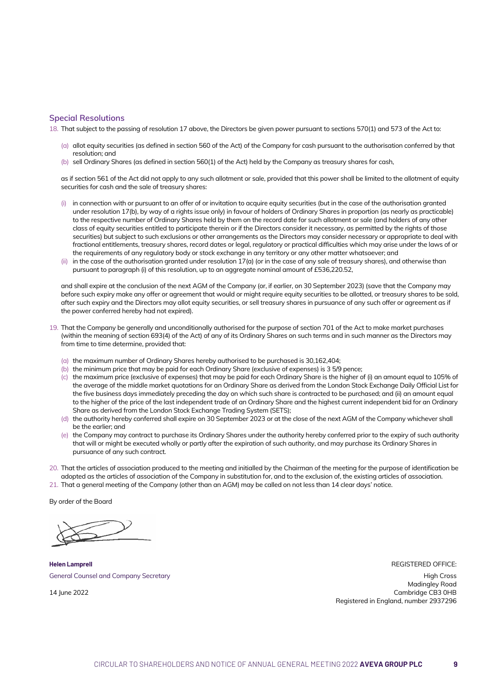#### **Special Resolutions**

18. That subject to the passing of resolution 17 above, the Directors be given power pursuant to sections 570(1) and 573 of the Act to:

- (a) allot equity securities (as defined in section 560 of the Act) of the Company for cash pursuant to the authorisation conferred by that resolution; and
- (b) sell Ordinary Shares (as defined in section 560(1) of the Act) held by the Company as treasury shares for cash,

as if section 561 of the Act did not apply to any such allotment or sale, provided that this power shall be limited to the allotment of equity securities for cash and the sale of treasury shares:

- (i) in connection with or pursuant to an offer of or invitation to acquire equity securities (but in the case of the authorisation granted under resolution 17(b), by way of a rights issue only) in favour of holders of Ordinary Shares in proportion (as nearly as practicable) to the respective number of Ordinary Shares held by them on the record date for such allotment or sale (and holders of any other class of equity securities entitled to participate therein or if the Directors consider it necessary, as permitted by the rights of those securities) but subject to such exclusions or other arrangements as the Directors may consider necessary or appropriate to deal with fractional entitlements, treasury shares, record dates or legal, regulatory or practical difficulties which may arise under the laws of or the requirements of any regulatory body or stock exchange in any territory or any other matter whatsoever; and
- (ii) in the case of the authorisation granted under resolution 17(a) (or in the case of any sale of treasury shares), and otherwise than pursuant to paragraph (i) of this resolution, up to an aggregate nominal amount of £536,220.52,

and shall expire at the conclusion of the next AGM of the Company (or, if earlier, on 30 September 2023) (save that the Company may before such expiry make any offer or agreement that would or might require equity securities to be allotted, or treasury shares to be sold, after such expiry and the Directors may allot equity securities, or sell treasury shares in pursuance of any such offer or agreement as if the power conferred hereby had not expired).

- 19. That the Company be generally and unconditionally authorised for the purpose of section 701 of the Act to make market purchases (within the meaning of section 693(4) of the Act) of any of its Ordinary Shares on such terms and in such manner as the Directors may from time to time determine, provided that:
	- (a) the maximum number of Ordinary Shares hereby authorised to be purchased is 30,162,404;
	- (b) the minimum price that may be paid for each Ordinary Share (exclusive of expenses) is 3 5/9 pence;
	- (c) the maximum price (exclusive of expenses) that may be paid for each Ordinary Share is the higher of (i) an amount equal to 105% of the average of the middle market quotations for an Ordinary Share as derived from the London Stock Exchange Daily Official List for the five business days immediately preceding the day on which such share is contracted to be purchased; and (ii) an amount equal to the higher of the price of the last independent trade of an Ordinary Share and the highest current independent bid for an Ordinary Share as derived from the London Stock Exchange Trading System (SETS);
	- (d) the authority hereby conferred shall expire on 30 September 2023 or at the close of the next AGM of the Company whichever shall be the earlier; and
	- (e) the Company may contract to purchase its Ordinary Shares under the authority hereby conferred prior to the expiry of such authority that will or might be executed wholly or partly after the expiration of such authority, and may purchase its Ordinary Shares in pursuance of any such contract.
- 20. That the articles of association produced to the meeting and initialled by the Chairman of the meeting for the purpose of identification be adopted as the articles of association of the Company in substitution for, and to the exclusion of, the existing articles of association.
- 21. That a general meeting of the Company (other than an AGM) may be called on not less than 14 clear days' notice.

By order of the Board

**Helen Lamprell** General Counsel and Company Secretary

14 lune 2022

REGISTERED OFFICE:

High Cross Madingley Road Cambridge CB3 0HB Registered in England, number 2937296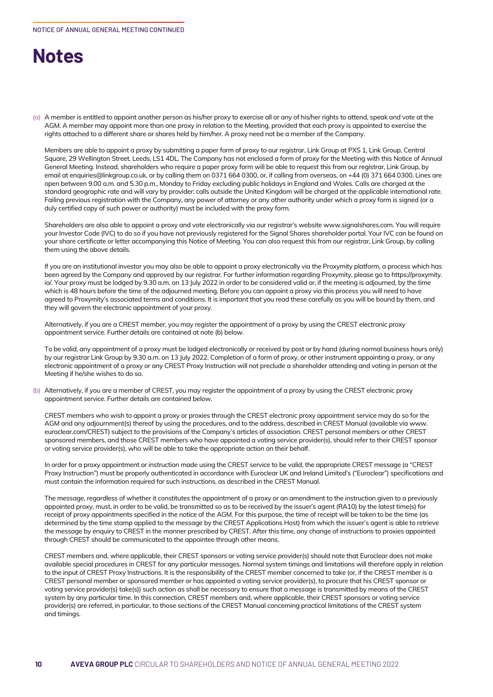# **Notes**

(a) A member is entitled to appoint another person as his/her proxy to exercise all or any of his/her rights to attend, speak and vote at the AGM. A member may appoint more than one proxy in relation to the Meeting, provided that each proxy is appointed to exercise the rights attached to a different share or shares held by him/her. A proxy need not be a member of the Company.

Members are able to appoint a proxy by submitting a paper form of proxy to our registrar, Link Group at PXS 1, Link Group, Central Square, 29 Wellington Street, Leeds, LS1 4DL. The Company has not enclosed a form of proxy for the Meeting with this Notice of Annual General Meeting. Instead, shareholders who require a paper proxy form will be able to request this from our registrar, Link Group, by email at enquiries@linkgroup.co.uk, or by calling them on 0371 664 0300, or, if calling from overseas, on +44 (0) 371 664 0300. Lines are open between 9.00 a.m. and 5.30 p.m., Monday to Friday excluding public holidays in England and Wales. Calls are charged at the standard geographic rate and will vary by provider; calls outside the United Kingdom will be charged at the applicable international rate. Failing previous registration with the Company, any power of attorney or any other authority under which a proxy form is signed (or a duly certified copy of such power or authority) must be included with the proxy form.

Shareholders are also able to appoint a proxy and vote electronically via our registrar's website www.signalshares.com. You will require your Investor Code (IVC) to do so if you have not previously registered for the Signal Shares shareholder portal. Your IVC can be found on your share certificate or letter accompanying this Notice of Meeting. You can also request this from our registrar, Link Group, by calling them using the above details.

If you are an institutional investor you may also be able to appoint a proxy electronically via the Proxymity platform, a process which has been agreed by the Company and approved by our registrar. For further information regarding Proxymity, please go to https://proxymity. io/. Your proxy must be lodged by 9.30 a.m. on 13 July 2022 in order to be considered valid or, if the meeting is adjourned, by the time which is 48 hours before the time of the adjourned meeting. Before you can appoint a proxy via this process you will need to have agreed to Proxymity's associated terms and conditions. It is important that you read these carefully as you will be bound by them, and they will govern the electronic appointment of your proxy.

Alternatively, if you are a CREST member, you may register the appointment of a proxy by using the CREST electronic proxy appointment service. Further details are contained at note (b) below.

To be valid, any appointment of a proxy must be lodged electronically or received by post or by hand (during normal business hours only) by our registrar Link Group by 9.30 a.m. on 13 July 2022. Completion of a form of proxy, or other instrument appointing a proxy, or any electronic appointment of a proxy or any CREST Proxy Instruction will not preclude a shareholder attending and voting in person at the Meeting if he/she wishes to do so.

(b) Alternatively, if you are a member of CREST, you may register the appointment of a proxy by using the CREST electronic proxy appointment service. Further details are contained below.

CREST members who wish to appoint a proxy or proxies through the CREST electronic proxy appointment service may do so for the AGM and any adjournment(s) thereof by using the procedures, and to the address, described in CREST Manual (available via www. euroclear.com/CREST) subject to the provisions of the Company's articles of association. CREST personal members or other CREST sponsored members, and those CREST members who have appointed a voting service provider(s), should refer to their CREST sponsor or voting service provider(s), who will be able to take the appropriate action on their behalf.

In order for a proxy appointment or instruction made using the CREST service to be valid, the appropriate CREST message (a "CREST Proxy Instruction") must be properly authenticated in accordance with Euroclear UK and Ireland Limited's ("Euroclear") specifications and must contain the information required for such instructions, as described in the CREST Manual.

The message, regardless of whether it constitutes the appointment of a proxy or an amendment to the instruction given to a previously appointed proxy, must, in order to be valid, be transmitted so as to be received by the issuer's agent (RA10) by the latest time(s) for receipt of proxy appointments specified in the notice of the AGM. For this purpose, the time of receipt will be taken to be the time (as determined by the time stamp applied to the message by the CREST Applications Host) from which the issuer's agent is able to retrieve the message by enquiry to CREST in the manner prescribed by CREST. After this time, any change of instructions to proxies appointed through CREST should be communicated to the appointee through other means.

CREST members and, where applicable, their CREST sponsors or voting service provider(s) should note that Euroclear does not make available special procedures in CREST for any particular messages. Normal system timings and limitations will therefore apply in relation to the input of CREST Proxy Instructions. It is the responsibility of the CREST member concerned to take (or, if the CREST member is a CREST personal member or sponsored member or has appointed a voting service provider(s), to procure that his CREST sponsor or voting service provider(s) take(s)) such action as shall be necessary to ensure that a message is transmitted by means of the CREST system by any particular time. In this connection, CREST members and, where applicable, their CREST sponsors or voting service provider(s) are referred, in particular, to those sections of the CREST Manual concerning practical limitations of the CREST system and timings.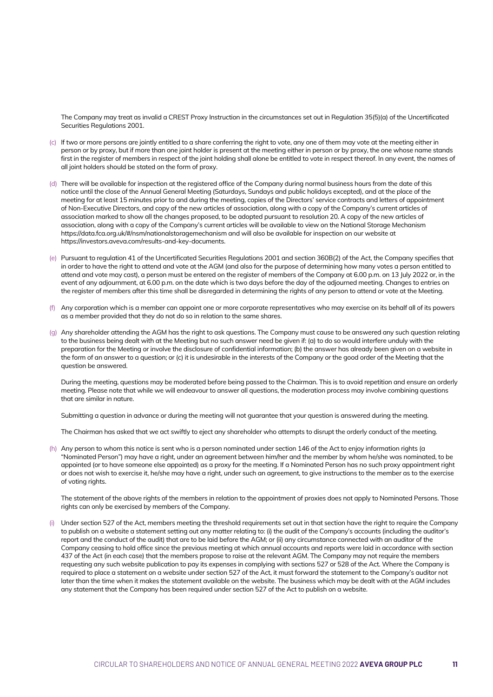The Company may treat as invalid a CREST Proxy Instruction in the circumstances set out in Regulation 35(5)(a) of the Uncertificated Securities Regulations 2001.

- (c) If two or more persons are jointly entitled to a share conferring the right to vote, any one of them may vote at the meeting either in person or by proxy, but if more than one joint holder is present at the meeting either in person or by proxy, the one whose name stands first in the register of members in respect of the joint holding shall alone be entitled to vote in respect thereof. In any event, the names of all joint holders should be stated on the form of proxy.
- (d) There will be available for inspection at the registered office of the Company during normal business hours from the date of this notice until the close of the Annual General Meeting (Saturdays, Sundays and public holidays excepted), and at the place of the meeting for at least 15 minutes prior to and during the meeting, copies of the Directors' service contracts and letters of appointment of Non-Executive Directors, and copy of the new articles of association, along with a copy of the Company's current articles of association marked to show all the changes proposed, to be adopted pursuant to resolution 20. A copy of the new articles of association, along with a copy of the Company's current articles will be available to view on the National Storage Mechanism https://data.fca.org.uk/#/nsm/nationalstoragemechanism and will also be available for inspection on our website at https://investors.aveva.com/results-and-key-documents.
- (e) Pursuant to regulation 41 of the Uncertificated Securities Regulations 2001 and section 360B(2) of the Act, the Company specifies that in order to have the right to attend and vote at the AGM (and also for the purpose of determining how many votes a person entitled to attend and vote may cast), a person must be entered on the register of members of the Company at 6.00 p.m. on 13 July 2022 or, in the event of any adjournment, at 6.00 p.m. on the date which is two days before the day of the adjourned meeting. Changes to entries on the register of members after this time shall be disregarded in determining the rights of any person to attend or vote at the Meeting.
- (f) Any corporation which is a member can appoint one or more corporate representatives who may exercise on its behalf all of its powers as a member provided that they do not do so in relation to the same shares.
- (g) Any shareholder attending the AGM has the right to ask questions. The Company must cause to be answered any such question relating to the business being dealt with at the Meeting but no such answer need be given if: (a) to do so would interfere unduly with the preparation for the Meeting or involve the disclosure of confidential information; (b) the answer has already been given on a website in the form of an answer to a question; or (c) it is undesirable in the interests of the Company or the good order of the Meeting that the question be answered.

During the meeting, questions may be moderated before being passed to the Chairman. This is to avoid repetition and ensure an orderly meeting. Please note that while we will endeavour to answer all questions, the moderation process may involve combining questions that are similar in nature.

Submitting a question in advance or during the meeting will not guarantee that your question is answered during the meeting.

The Chairman has asked that we act swiftly to eject any shareholder who attempts to disrupt the orderly conduct of the meeting.

(h) Any person to whom this notice is sent who is a person nominated under section 146 of the Act to enjoy information rights (a "Nominated Person") may have a right, under an agreement between him/her and the member by whom he/she was nominated, to be appointed (or to have someone else appointed) as a proxy for the meeting. If a Nominated Person has no such proxy appointment right or does not wish to exercise it, he/she may have a right, under such an agreement, to give instructions to the member as to the exercise of voting rights.

The statement of the above rights of the members in relation to the appointment of proxies does not apply to Nominated Persons. Those rights can only be exercised by members of the Company.

(i) Under section 527 of the Act, members meeting the threshold requirements set out in that section have the right to require the Company to publish on a website a statement setting out any matter relating to: (i) the audit of the Company's accounts (including the auditor's report and the conduct of the audit) that are to be laid before the AGM; or (ii) any circumstance connected with an auditor of the Company ceasing to hold office since the previous meeting at which annual accounts and reports were laid in accordance with section 437 of the Act (in each case) that the members propose to raise at the relevant AGM. The Company may not require the members requesting any such website publication to pay its expenses in complying with sections 527 or 528 of the Act. Where the Company is required to place a statement on a website under section 527 of the Act, it must forward the statement to the Company's auditor not later than the time when it makes the statement available on the website. The business which may be dealt with at the AGM includes any statement that the Company has been required under section 527 of the Act to publish on a website.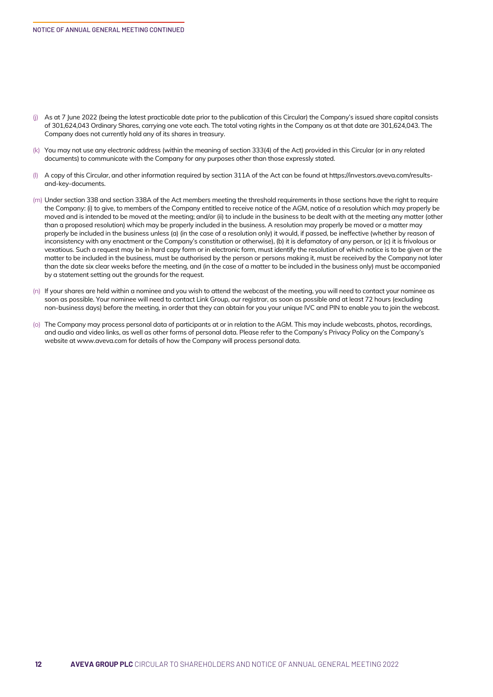- (j) As at 7 June 2022 (being the latest practicable date prior to the publication of this Circular) the Company's issued share capital consists of 301,624,043 Ordinary Shares, carrying one vote each. The total voting rights in the Company as at that date are 301,624,043. The Company does not currently hold any of its shares in treasury.
- (k) You may not use any electronic address (within the meaning of section 333(4) of the Act) provided in this Circular (or in any related documents) to communicate with the Company for any purposes other than those expressly stated.
- (l) A copy of this Circular, and other information required by section 311A of the Act can be found at https://investors.aveva.com/resultsand-key-documents.
- (m) Under section 338 and section 338A of the Act members meeting the threshold requirements in those sections have the right to require the Company: (i) to give, to members of the Company entitled to receive notice of the AGM, notice of a resolution which may properly be moved and is intended to be moved at the meeting; and/or (ii) to include in the business to be dealt with at the meeting any matter (other than a proposed resolution) which may be properly included in the business. A resolution may properly be moved or a matter may properly be included in the business unless (a) (in the case of a resolution only) it would, if passed, be ineffective (whether by reason of inconsistency with any enactment or the Company's constitution or otherwise), (b) it is defamatory of any person, or (c) it is frivolous or vexatious. Such a request may be in hard copy form or in electronic form, must identify the resolution of which notice is to be given or the matter to be included in the business, must be authorised by the person or persons making it, must be received by the Company not later than the date six clear weeks before the meeting, and (in the case of a matter to be included in the business only) must be accompanied by a statement setting out the grounds for the request.
- (n) If your shares are held within a nominee and you wish to attend the webcast of the meeting, you will need to contact your nominee as soon as possible. Your nominee will need to contact Link Group, our registrar, as soon as possible and at least 72 hours (excluding non-business days) before the meeting, in order that they can obtain for you your unique IVC and PIN to enable you to join the webcast.
- (o) The Company may process personal data of participants at or in relation to the AGM. This may include webcasts, photos, recordings, and audio and video links, as well as other forms of personal data. Please refer to the Company's Privacy Policy on the Company's website at www.aveva.com for details of how the Company will process personal data.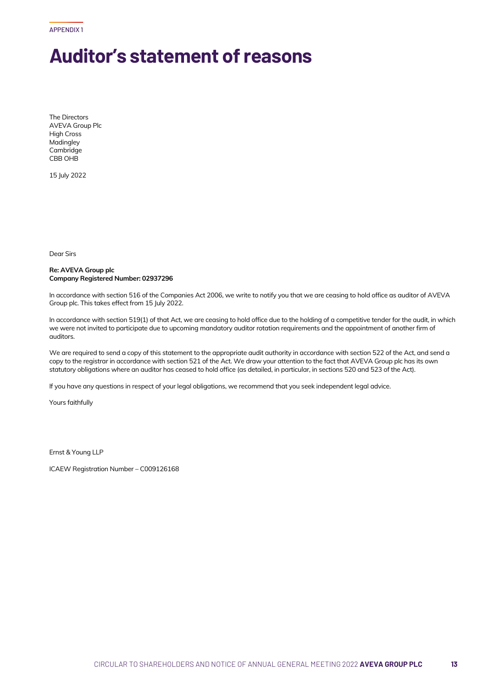APPENDIX 1

# **Auditor's statement of reasons**

The Directors AVEVA Group Plc High Cross Madingley Cambridge CBB OHB

15 July 2022

Dear Sirs

## **Re: AVEVA Group plc Company Registered Number: 02937296**

In accordance with section 516 of the Companies Act 2006, we write to notify you that we are ceasing to hold office as auditor of AVEVA Group plc. This takes effect from 15 July 2022.

In accordance with section 519(1) of that Act, we are ceasing to hold office due to the holding of a competitive tender for the audit, in which we were not invited to participate due to upcoming mandatory auditor rotation requirements and the appointment of another firm of auditors.

We are required to send a copy of this statement to the appropriate audit authority in accordance with section 522 of the Act, and send a copy to the registrar in accordance with section 521 of the Act. We draw your attention to the fact that AVEVA Group plc has its own statutory obligations where an auditor has ceased to hold office (as detailed, in particular, in sections 520 and 523 of the Act).

If you have any questions in respect of your legal obligations, we recommend that you seek independent legal advice.

Yours faithfully

Ernst & Young LLP

ICAEW Registration Number – C009126168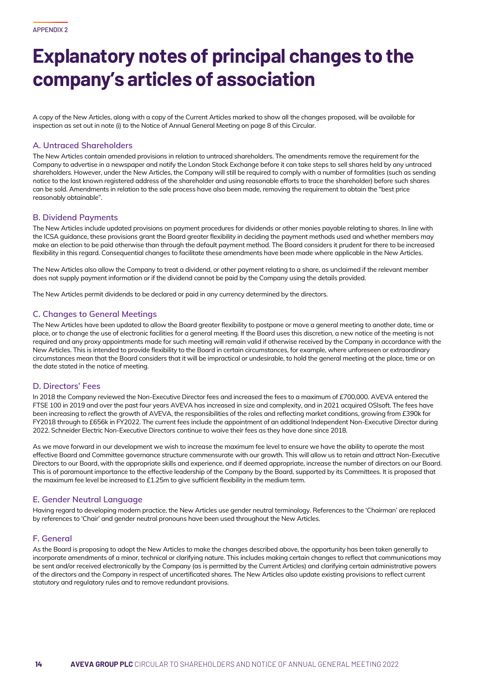# **Explanatory notes of principal changes to the company's articles of association**

A copy of the New Articles, along with a copy of the Current Articles marked to show all the changes proposed, will be available for inspection as set out in note (i) to the Notice of Annual General Meeting on page 8 of this Circular.

# **A. Untraced Shareholders**

The New Articles contain amended provisions in relation to untraced shareholders. The amendments remove the requirement for the Company to advertise in a newspaper and notify the London Stock Exchange before it can take steps to sell shares held by any untraced shareholders. However, under the New Articles, the Company will still be required to comply with a number of formalities (such as sending notice to the last known registered address of the shareholder and using reasonable efforts to trace the shareholder) before such shares can be sold. Amendments in relation to the sale process have also been made, removing the requirement to obtain the "best price reasonably obtainable".

# **B. Dividend Payments**

The New Articles include updated provisions on payment procedures for dividends or other monies payable relating to shares. In line with the ICSA guidance, these provisions grant the Board greater flexibility in deciding the payment methods used and whether members may make an election to be paid otherwise than through the default payment method. The Board considers it prudent for there to be increased flexibility in this regard. Consequential changes to facilitate these amendments have been made where applicable in the New Articles.

The New Articles also allow the Company to treat a dividend, or other payment relating to a share, as unclaimed if the relevant member does not supply payment information or if the dividend cannot be paid by the Company using the details provided.

The New Articles permit dividends to be declared or paid in any currency determined by the directors.

# **C. Changes to General Meetings**

The New Articles have been updated to allow the Board greater flexibility to postpone or move a general meeting to another date, time or place, or to change the use of electronic facilities for a general meeting. If the Board uses this discretion, a new notice of the meeting is not required and any proxy appointments made for such meeting will remain valid if otherwise received by the Company in accordance with the New Articles. This is intended to provide flexibility to the Board in certain circumstances, for example, where unforeseen or extraordinary circumstances mean that the Board considers that it will be impractical or undesirable, to hold the general meeting at the place, time or on the date stated in the notice of meeting.

# **D. Directors' Fees**

In 2018 the Company reviewed the Non-Executive Director fees and increased the fees to a maximum of £700,000. AVEVA entered the FTSE 100 in 2019 and over the past four years AVEVA has increased in size and complexity, and in 2021 acquired OSIsoft. The fees have been increasing to reflect the growth of AVEVA, the responsibilities of the roles and reflecting market conditions, growing from £390k for FY2018 through to £656k in FY2022. The current fees include the appointment of an additional Independent Non-Executive Director during 2022. Schneider Electric Non-Executive Directors continue to waive their fees as they have done since 2018.

As we move forward in our development we wish to increase the maximum fee level to ensure we have the ability to operate the most effective Board and Committee governance structure commensurate with our growth. This will allow us to retain and attract Non-Executive Directors to our Board, with the appropriate skills and experience, and if deemed appropriate, increase the number of directors on our Board. This is of paramount importance to the effective leadership of the Company by the Board, supported by its Committees. It is proposed that the maximum fee level be increased to  $£1.25m$  to give sufficient flexibility in the medium term.

# **E. Gender Neutral Language**

Having regard to developing modern practice, the New Articles use gender neutral terminology. References to the 'Chairman' are replaced by references to 'Chair' and gender neutral pronouns have been used throughout the New Articles.

# **F. General**

As the Board is proposing to adopt the New Articles to make the changes described above, the opportunity has been taken generally to incorporate amendments of a minor, technical or clarifying nature. This includes making certain changes to reflect that communications may be sent and/or received electronically by the Company (as is permitted by the Current Articles) and clarifying certain administrative powers of the directors and the Company in respect of uncertificated shares. The New Articles also update existing provisions to reflect current statutory and regulatory rules and to remove redundant provisions.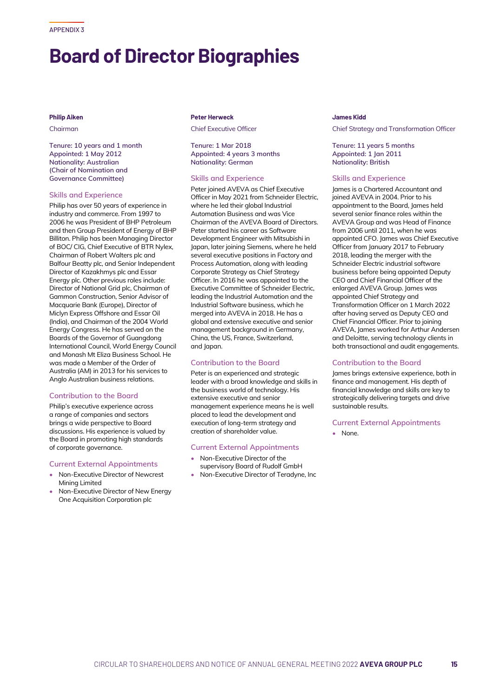# **Board of Director Biographies**

# **Philip Aiken**

Chairman

**Tenure: 10 years and 1 month Appointed: 1 May 2012 Nationality: Australian (Chair of Nomination and Governance Committee)**

## **Skills and Experience**

Philip has over 50 years of experience in industry and commerce. From 1997 to 2006 he was President of BHP Petroleum and then Group President of Energy of BHP Billiton. Philip has been Managing Director of BOC/ CIG, Chief Executive of BTR Nylex, Chairman of Robert Walters plc and Balfour Beatty plc, and Senior Independent Director of Kazakhmys plc and Essar Energy plc. Other previous roles include: Director of National Grid plc, Chairman of Gammon Construction, Senior Advisor of Macquarie Bank (Europe), Director of Miclyn Express Offshore and Essar Oil (India), and Chairman of the 2004 World Energy Congress. He has served on the Boards of the Governor of Guangdong International Council, World Energy Council and Monash Mt Eliza Business School. He was made a Member of the Order of Australia (AM) in 2013 for his services to Anglo Australian business relations.

## **Contribution to the Board**

Philip's executive experience across a range of companies and sectors brings a wide perspective to Board discussions. His experience is valued by the Board in promoting high standards of corporate governance.

#### **Current External Appointments**

- Non-Executive Director of Newcrest Mining Limited
- Non-Executive Director of New Energy One Acquisition Corporation plc

#### **Peter Herweck**

Chief Executive Officer

**Tenure: 1 Mar 2018 Appointed: 4 years 3 months Nationality: German**

# **Skills and Experience**

Peter joined AVEVA as Chief Executive Officer in May 2021 from Schneider Electric, where he led their global Industrial Automation Business and was Vice Chairman of the AVEVA Board of Directors. Peter started his career as Software Development Engineer with Mitsubishi in Japan, later joining Siemens, where he held several executive positions in Factory and Process Automation, along with leading Corporate Strategy as Chief Strategy Officer. In 2016 he was appointed to the Executive Committee of Schneider Electric, leading the Industrial Automation and the Industrial Software business, which he merged into AVEVA in 2018. He has a global and extensive executive and senior management background in Germany, China, the US, France, Switzerland, and lapan.

#### **Contribution to the Board**

Peter is an experienced and strategic leader with a broad knowledge and skills in the business world of technology. His extensive executive and senior management experience means he is well placed to lead the development and execution of long-term strategy and creation of shareholder value.

#### **Current External Appointments**

- Non-Executive Director of the supervisory Board of Rudolf GmbH
- Non-Executive Director of Teradyne, Inc

#### **James Kidd**

Chief Strategy and Transformation Officer

**Tenure: 11 years 5 months Appointed: 1 Jan 2011 Nationality: British**

# **Skills and Experience**

James is a Chartered Accountant and joined AVEVA in 2004. Prior to his appointment to the Board, James held several senior finance roles within the AVEVA Group and was Head of Finance from 2006 until 2011, when he was appointed CFO. James was Chief Executive Officer from January 2017 to February 2018, leading the merger with the Schneider Electric industrial software business before being appointed Deputy CEO and Chief Financial Officer of the enlarged AVEVA Group. James was appointed Chief Strategy and Transformation Officer on 1 March 2022 after having served as Deputy CEO and Chief Financial Officer. Prior to joining AVEVA, James worked for Arthur Andersen and Deloitte, serving technology clients in both transactional and audit engagements.

#### **Contribution to the Board**

James brings extensive experience, both in finance and management. His depth of financial knowledge and skills are key to strategically delivering targets and drive sustainable results.

#### **Current External Appointments**

• None.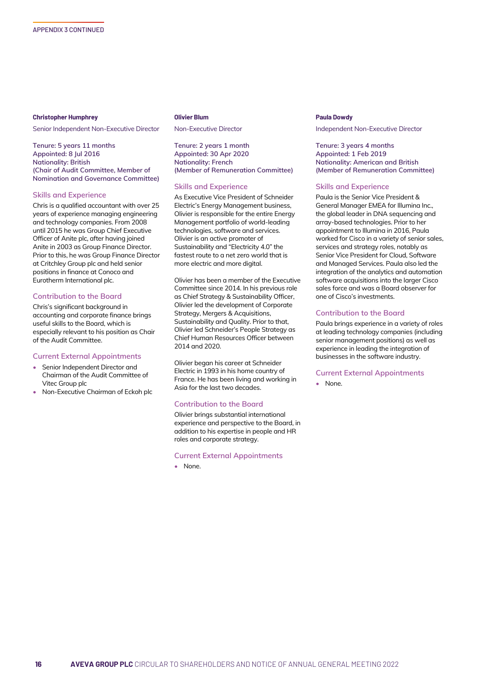#### **Christopher Humphrey**

Senior Independent Non-Executive Director

**Tenure: 5 years 11 months Appointed: 8 Jul 2016 Nationality: British (Chair of Audit Committee, Member of Nomination and Governance Committee)**

## **Skills and Experience**

Chris is a qualified accountant with over 25 years of experience managing engineering and technology companies. From 2008 until 2015 he was Group Chief Executive Officer of Anite plc, after having joined Anite in 2003 as Group Finance Director. Prior to this, he was Group Finance Director at Critchley Group plc and held senior positions in finance at Conoco and Eurotherm International plc.

## **Contribution to the Board**

Chris's significant background in accounting and corporate finance brings useful skills to the Board, which is especially relevant to his position as Chair of the Audit Committee.

#### **Current External Appointments**

- Senior Independent Director and Chairman of the Audit Committee of Vitec Group plc
- Non-Executive Chairman of Eckoh plc

#### **Olivier Blum**

Non-Executive Director

**Tenure: 2 years 1 month Appointed: 30 Apr 2020 Nationality: French (Member of Remuneration Committee)**

#### **Skills and Experience**

As Executive Vice President of Schneider Electric's Energy Management business, Olivier is responsible for the entire Energy Management portfolio of world-leading technologies, software and services. Olivier is an active promoter of Sustainability and "Electricity 4.0" the fastest route to a net zero world that is more electric and more digital.

Olivier has been a member of the Executive Committee since 2014. In his previous role as Chief Strategy & Sustainability Officer, Olivier led the development of Corporate Strategy, Mergers & Acquisitions, Sustainability and Quality. Prior to that, Olivier led Schneider's People Strategy as Chief Human Resources Officer between 2014 and 2020.

Olivier began his career at Schneider Electric in 1993 in his home country of France. He has been living and working in Asia for the last two decades.

#### **Contribution to the Board**

Olivier brings substantial international experience and perspective to the Board, in addition to his expertise in people and HR roles and corporate strategy.

#### **Current External Appointments**

• None.

#### **Paula Dowdy**

Independent Non-Executive Director

**Tenure: 3 years 4 months Appointed: 1 Feb 2019 Nationality: American and British (Member of Remuneration Committee)**

#### **Skills and Experience**

Paula is the Senior Vice President & General Manager EMEA for Illumina Inc., the global leader in DNA sequencing and array-based technologies. Prior to her appointment to Illumina in 2016, Paula worked for Cisco in a variety of senior sales, services and strategy roles, notably as Senior Vice President for Cloud, Software and Managed Services. Paula also led the integration of the analytics and automation software acquisitions into the larger Cisco sales force and was a Board observer for one of Cisco's investments.

# **Contribution to the Board**

Paula brings experience in a variety of roles at leading technology companies (including senior management positions) as well as experience in leading the integration of businesses in the software industry.

#### **Current External Appointments**

• None.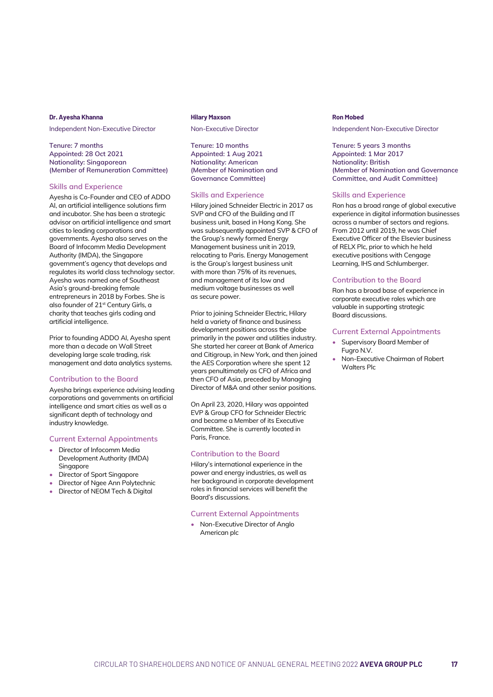#### **Dr. Ayesha Khanna**

Independent Non-Executive Director

**Tenure: 7 months Appointed: 28 Oct 2021 Nationality: Singaporean (Member of Remuneration Committee)**

#### **Skills and Experience**

Ayesha is Co-Founder and CEO of ADDO AI, an artificial intelligence solutions firm and incubator. She has been a strategic advisor on artificial intelligence and smart cities to leading corporations and governments. Ayesha also serves on the Board of Infocomm Media Development Authority (IMDA), the Singapore government's agency that develops and regulates its world class technology sector. Ayesha was named one of Southeast Asia's ground-breaking female entrepreneurs in 2018 by Forbes. She is also founder of 21st Century Girls, a charity that teaches girls coding and artificial intelligence.

Prior to founding ADDO AI, Ayesha spent more than a decade on Wall Street developing large scale trading, risk management and data analytics systems.

## **Contribution to the Board**

Ayesha brings experience advising leading corporations and governments on artificial intelligence and smart cities as well as a significant depth of technology and industry knowledge.

## **Current External Appointments**

- Director of Infocomm Media Development Authority (IMDA) Singapore
- Director of Sport Singapore
- Director of Ngee Ann Polytechnic
- Director of NEOM Tech & Digital

#### **Hilary Maxson**

Non-Executive Director

**Tenure: 10 months Appointed: 1 Aug 2021 Nationality: American (Member of Nomination and Governance Committee)**

#### **Skills and Experience**

Hilary joined Schneider Electric in 2017 as SVP and CFO of the Building and IT business unit, based in Hong Kong. She was subsequently appointed SVP & CFO of the Group's newly formed Energy Management business unit in 2019, relocating to Paris. Energy Management is the Group's largest business unit with more than 75% of its revenues, and management of its low and medium voltage businesses as well as secure power.

Prior to joining Schneider Electric, Hilary held a variety of finance and business development positions across the globe primarily in the power and utilities industry. She started her career at Bank of America and Citigroup, in New York, and then joined the AES Corporation where she spent 12 years penultimately as CFO of Africa and then CFO of Asia, preceded by Managing Director of M&A and other senior positions.

On April 23, 2020, Hilary was appointed EVP & Group CFO for Schneider Electric and became a Member of its Executive Committee. She is currently located in Paris, France.

## **Contribution to the Board**

Hilary's international experience in the power and energy industries, as well as her background in corporate development roles in financial services will benefit the Board's discussions.

#### **Current External Appointments**

• Non-Executive Director of Anglo American plc

#### **Ron Mobed**

Independent Non-Executive Director

**Tenure: 5 years 3 months Appointed: 1 Mar 2017 Nationality: British (Member of Nomination and Governance Committee, and Audit Committee)**

## **Skills and Experience**

Ron has a broad range of global executive experience in digital information businesses across a number of sectors and regions. From 2012 until 2019, he was Chief Executive Officer of the Elsevier business of RELX Plc, prior to which he held executive positions with Cengage Learning, IHS and Schlumberger.

#### **Contribution to the Board**

Ron has a broad base of experience in corporate executive roles which are valuable in supporting strategic Board discussions.

## **Current External Appointments**

- Supervisory Board Member of Fugro N.V.
- Non-Executive Chairman of Robert Walters Plc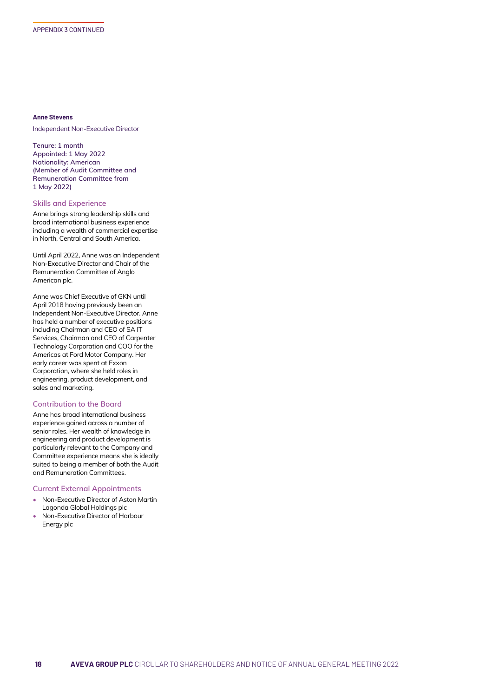#### **Anne Stevens**

Independent Non-Executive Director

**Tenure: 1 month Appointed: 1 May 2022 Nationality: American (Member of Audit Committee and Remuneration Committee from 1 May 2022)**

# **Skills and Experience**

Anne brings strong leadership skills and broad international business experience including a wealth of commercial expertise in North, Central and South America.

Until April 2022, Anne was an Independent Non-Executive Director and Chair of the Remuneration Committee of Anglo American plc.

Anne was Chief Executive of GKN until April 2018 having previously been an Independent Non-Executive Director. Anne has held a number of executive positions including Chairman and CEO of SA IT Services, Chairman and CEO of Carpenter Technology Corporation and COO for the Americas at Ford Motor Company. Her early career was spent at Exxon Corporation, where she held roles in engineering, product development, and sales and marketing.

# **Contribution to the Board**

Anne has broad international business experience gained across a number of senior roles. Her wealth of knowledge in engineering and product development is particularly relevant to the Company and Committee experience means she is ideally suited to being a member of both the Audit and Remuneration Committees.

#### **Current External Appointments**

- Non-Executive Director of Aston Martin Lagonda Global Holdings plc
- Non-Executive Director of Harbour Energy plc